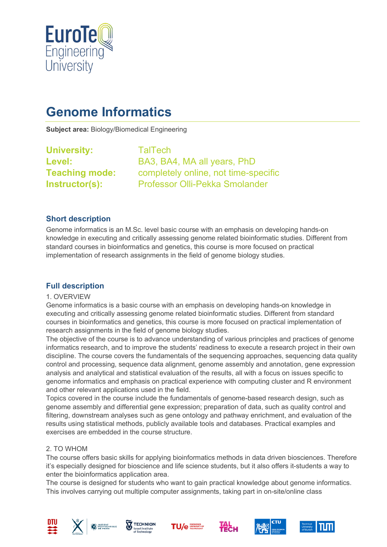

# **Genome Informatics**

**Subject area:** Biology/Biomedical Engineering

**University:** TalTech

**Level:** BA3, BA4, MA all years, PhD **Teaching mode:** completely online, not time-specific **Instructor(s):** Professor Olli-Pekka Smolander

## **Short description**

Genome informatics is an M.Sc. level basic course with an emphasis on developing hands-on knowledge in executing and critically assessing genome related bioinformatic studies. Different from standard courses in bioinformatics and genetics, this course is more focused on practical implementation of research assignments in the field of genome biology studies.

## **Full description**

#### 1. OVERVIEW

Genome informatics is a basic course with an emphasis on developing hands-on knowledge in executing and critically assessing genome related bioinformatic studies. Different from standard courses in bioinformatics and genetics, this course is more focused on practical implementation of research assignments in the field of genome biology studies.

The objective of the course is to advance understanding of various principles and practices of genome informatics research, and to improve the students' readiness to execute a research project in their own discipline. The course covers the fundamentals of the sequencing approaches, sequencing data quality control and processing, sequence data alignment, genome assembly and annotation, gene expression analysis and analytical and statistical evaluation of the results, all with a focus on issues specific to genome informatics and emphasis on practical experience with computing cluster and R environment and other relevant applications used in the field.

Topics covered in the course include the fundamentals of genome-based research design, such as genome assembly and differential gene expression; preparation of data, such as quality control and filtering, downstream analyses such as gene ontology and pathway enrichment, and evaluation of the results using statistical methods, publicly available tools and databases. Practical examples and exercises are embedded in the course structure.

#### 2. TO WHOM

The course offers basic skills for applying bioinformatics methods in data driven biosciences. Therefore it's especially designed for bioscience and life science students, but it also offers it-students a way to enter the bioinformatics application area.

The course is designed for students who want to gain practical knowledge about genome informatics. This involves carrying out multiple computer assignments, taking part in on-site/online class











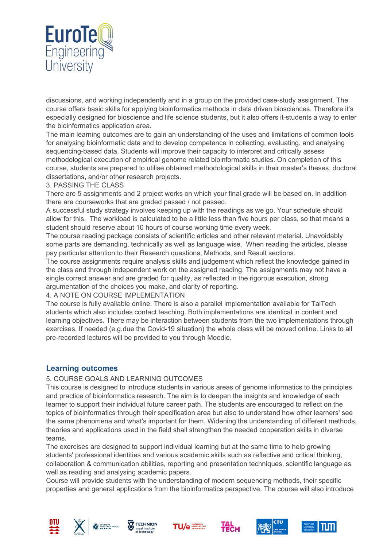

discussions, and working independently and in a group on the provided case-study assignment. The course offers basic skills for applying bioinformatics methods in data driven biosciences. Therefore it's especially designed for bioscience and life science students, but it also offers it-students a way to enter the bioinformatics application area.

The main learning outcomes are to gain an understanding of the uses and limitations of common tools for analysing bioinformatic data and to develop competence in collecting, evaluating, and analysing sequencing-based data. Students will improve their capacity to interpret and critically assess methodological execution of empirical genome related bioinformatic studies. On completion of this course, students are prepared to utilise obtained methodological skills in their master's theses, doctoral dissertations, and/or other research projects.

#### 3. PASSING THE CLASS

There are 5 assignments and 2 project works on which your final grade will be based on. In addition there are courseworks that are graded passed / not passed.

A successful study strategy involves keeping up with the readings as we go. Your schedule should allow for this. The workload is calculated to be a little less than five hours per class, so that means a student should reserve about 10 hours of course working time every week.

The course reading package consists of scientific articles and other relevant material. Unavoidably some parts are demanding, technically as well as language wise. When reading the articles, please pay particular attention to their Research questions, Methods, and Result sections.

The course assignments require analysis skills and judgement which reflect the knowledge gained in the class and through independent work on the assigned reading. The assignments may not have a single correct answer and are graded for quality, as reflected in the rigorous execution, strong argumentation of the choices you make, and clarity of reporting.

#### 4. A NOTE ON COURSE IMPLEMENTATION

The course is fully available online. There is also a parallel implementation available for TalTech students which also includes contact teaching. Both implementations are identical in content and learning objectives. There may be interaction between students from the two implementations through exercises. If needed (e.g.due the Covid-19 situation) the whole class will be moved online. Links to all pre-recorded lectures will be provided to you through Moodle.

#### **Learning outcomes**

#### 5. COURSE GOALS AND LEARNING OUTCOMES

This course is designed to introduce students in various areas of genome informatics to the principles and practice of bioinformatics research. The aim is to deepen the insights and knowledge of each learner to support their individual future career path. The students are encouraged to reflect on the topics of bioinformatics through their specification area but also to understand how other learners' see the same phenomena and what's important for them. Widening the understanding of different methods, theories and applications used in the field shall strengthen the needed cooperation skills in diverse teams.

The exercises are designed to support individual learning but at the same time to help growing students' professional identities and various academic skills such as reflective and critical thinking, collaboration & communication abilities, reporting and presentation techniques, scientific language as well as reading and analysing academic papers.

Course will provide students with the understanding of modern sequencing methods, their specific properties and general applications from the bioinformatics perspective. The course will also introduce













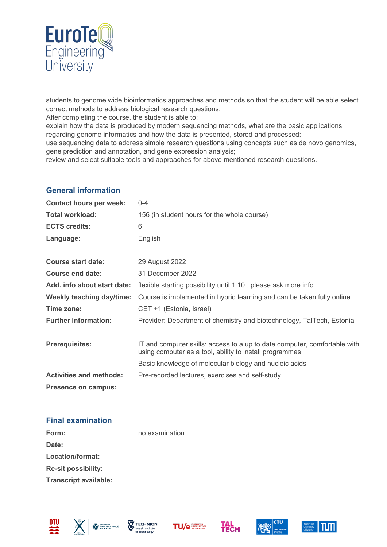

students to genome wide bioinformatics approaches and methods so that the student will be able select correct methods to address biological research questions.

After completing the course, the student is able to:

explain how the data is produced by modern sequencing methods, what are the basic applications regarding genome informatics and how the data is presented, stored and processed;

use sequencing data to address simple research questions using concepts such as de novo genomics, gene prediction and annotation, and gene expression analysis;

review and select suitable tools and approaches for above mentioned research questions.

# **General information**

| <b>Contact hours per week:</b>   | $0 - 4$                                                                                                                              |
|----------------------------------|--------------------------------------------------------------------------------------------------------------------------------------|
| Total workload:                  | 156 (in student hours for the whole course)                                                                                          |
| <b>ECTS credits:</b>             | 6                                                                                                                                    |
| Language:                        | English                                                                                                                              |
|                                  |                                                                                                                                      |
| Course start date:               | 29 August 2022                                                                                                                       |
| Course end date:                 | 31 December 2022                                                                                                                     |
| Add. info about start date:      | flexible starting possibility until 1.10., please ask more info                                                                      |
| <b>Weekly teaching day/time:</b> | Course is implemented in hybrid learning and can be taken fully online.                                                              |
| Time zone:                       | CET +1 (Estonia, Israel)                                                                                                             |
| <b>Further information:</b>      | Provider: Department of chemistry and biotechnology, TalTech, Estonia                                                                |
|                                  |                                                                                                                                      |
| <b>Prerequisites:</b>            | IT and computer skills: access to a up to date computer, comfortable with<br>using computer as a tool, ability to install programmes |
|                                  | Basic knowledge of molecular biology and nucleic acids                                                                               |
| <b>Activities and methods:</b>   | Pre-recorded lectures, exercises and self-study                                                                                      |
| <b>Presence on campus:</b>       |                                                                                                                                      |

### **Final examination**

| Form:                        | no examination |
|------------------------------|----------------|
| Date:                        |                |
| Location/format:             |                |
| <b>Re-sit possibility:</b>   |                |
| <b>Transcript available:</b> |                |